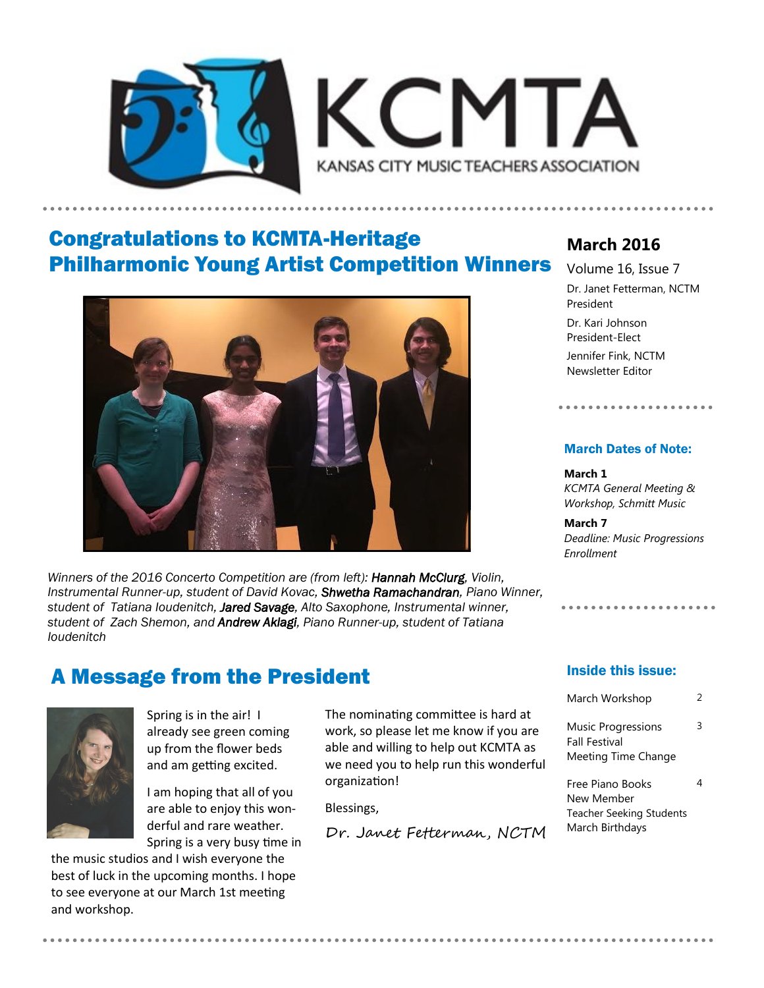



## Congratulations to KCMTA-Heritage Philharmonic Young Artist Competition Winners



*Winners of the 2016 Concerto Competition are (from left): Hannah McClurg, Violin, Instrumental Runner-up, student of David Kovac, Shwetha Ramachandran, Piano Winner, student of Tatiana Ioudenitch, Jared Savage, Alto Saxophone, Instrumental winner, student of Zach Shemon, and Andrew Aklagi, Piano Runner-up, student of Tatiana Ioudenitch* 

### A Message from the President



Spring is in the air! I already see green coming up from the flower beds and am getting excited.

I am hoping that all of you are able to enjoy this wonderful and rare weather. Spring is a very busy time in

the music studios and I wish everyone the best of luck in the upcoming months. I hope to see everyone at our March 1st meeting and workshop.

The nominating committee is hard at work, so please let me know if you are able and willing to help out KCMTA as we need you to help run this wonderful organization!

Blessings,

Dr. Janet Fetterman, NCTM

### **March 2016**

Volume 16, Issue 7 Dr. Janet Fetterman, NCTM President

Dr. Kari Johnson President-Elect Jennifer Fink, NCTM Newsletter Editor

#### March Dates of Note:

. . . . . . . . . . . . . . . . . . .

**March 1** *KCMTA General Meeting & Workshop, Schmitt Music*

**March 7** *Deadline: Music Progressions Enrollment*

#### Inside this issue:

| March Workshop                                                    | 2 |
|-------------------------------------------------------------------|---|
| Music Progressions<br><b>Fall Festival</b><br>Meeting Time Change | 3 |
| Free Piano Books<br>New Member                                    |   |

New Member Teacher Seeking Students March Birthdays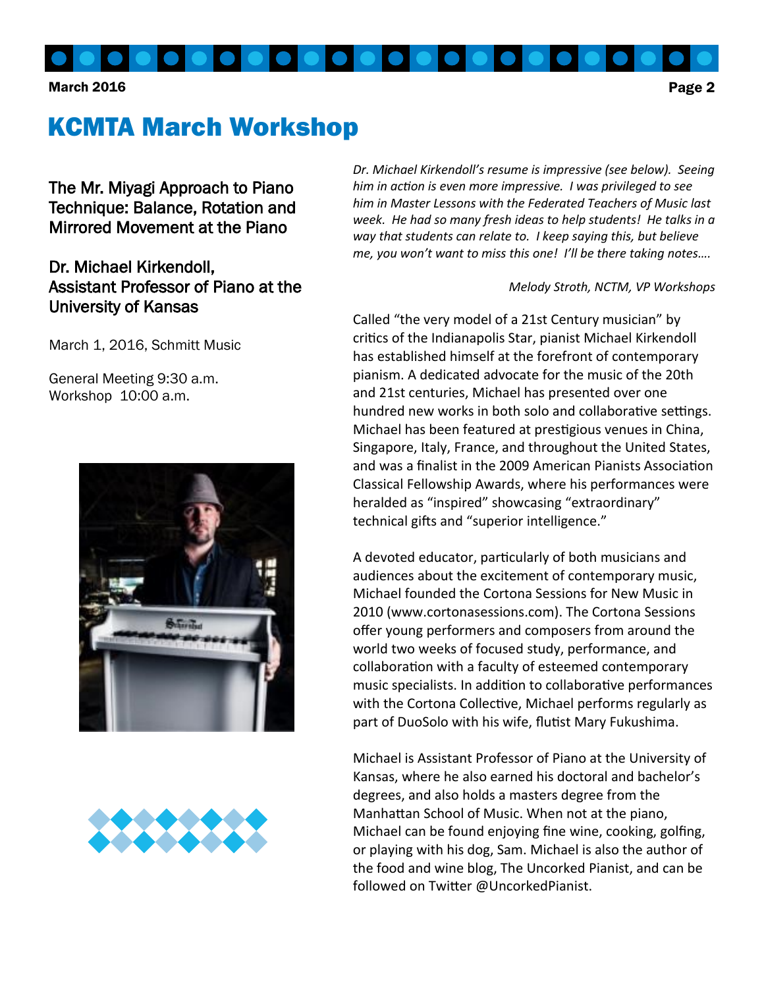

#### March 2016 **Page 2**

# KCMTA March Workshop

The Mr. Miyagi Approach to Piano Technique: Balance, Rotation and Mirrored Movement at the Piano

### Dr. Michael Kirkendoll, Assistant Professor of Piano at the University of Kansas

March 1, 2016, Schmitt Music

General Meeting 9:30 a.m. Workshop 10:00 a.m.





*Dr. Michael Kirkendoll's resume is impressive (see below). Seeing him in action is even more impressive. I was privileged to see him in Master Lessons with the Federated Teachers of Music last week. He had so many fresh ideas to help students! He talks in a way that students can relate to. I keep saying this, but believe me, you won't want to miss this one! I'll be there taking notes….*

#### *Melody Stroth, NCTM, VP Workshops*

Called "the very model of a 21st Century musician" by critics of the Indianapolis Star, pianist Michael Kirkendoll has established himself at the forefront of contemporary pianism. A dedicated advocate for the music of the 20th and 21st centuries, Michael has presented over one hundred new works in both solo and collaborative settings. Michael has been featured at prestigious venues in China, Singapore, Italy, France, and throughout the United States, and was a finalist in the 2009 American Pianists Association Classical Fellowship Awards, where his performances were heralded as "inspired" showcasing "extraordinary" technical gifts and "superior intelligence."

A devoted educator, particularly of both musicians and audiences about the excitement of contemporary music, Michael founded the Cortona Sessions for New Music in 2010 (www.cortonasessions.com). The Cortona Sessions offer young performers and composers from around the world two weeks of focused study, performance, and collaboration with a faculty of esteemed contemporary music specialists. In addition to collaborative performances with the Cortona Collective, Michael performs regularly as part of DuoSolo with his wife, flutist Mary Fukushima.

Michael is Assistant Professor of Piano at the University of Kansas, where he also earned his doctoral and bachelor's degrees, and also holds a masters degree from the Manhattan School of Music. When not at the piano, Michael can be found enjoying fine wine, cooking, golfing, or playing with his dog, Sam. Michael is also the author of the food and wine blog, The Uncorked Pianist, and can be followed on Twitter @UncorkedPianist.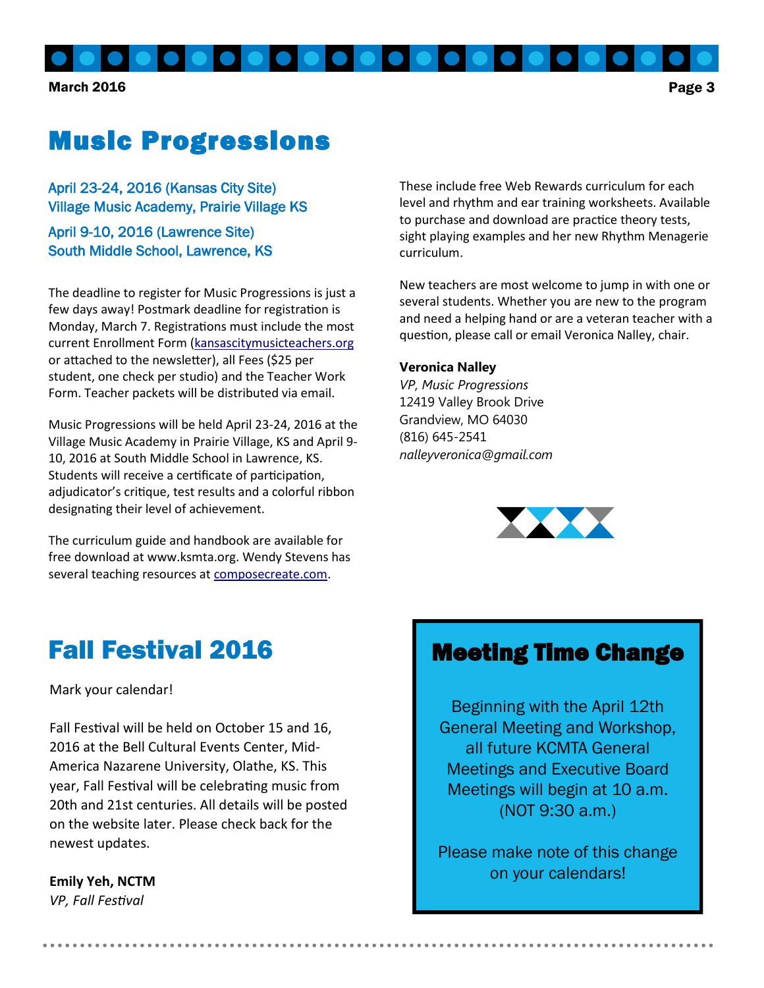March 2016 **Page 3** 

# Music Progressions

April 23-24, 2016 (Kansas City Site) Village Music Academy, Prairie Village KS

April 9-10, 2016 (Lawrence Site) South Middle School, Lawrence, KS

The deadline to register for Music Progressions is just a few days away! Postmark deadline for registration is Monday, March 7. Registrations must include the most current Enrollment Form ([kansascitymusicteachers.org](http://kansascitymusicteachers.org/student-programs/music-progressions/) or attached to the newsletter), all Fees (\$25 per student, one check per studio) and the Teacher Work Form. Teacher packets will be distributed via email.

Music Progressions will be held April 23-24, 2016 at the Village Music Academy in Prairie Village, KS and April 9- 10, 2016 at South Middle School in Lawrence, KS. Students will receive a certificate of participation, adjudicator's critique, test results and a colorful ribbon designating their level of achievement.

The curriculum guide and handbook are available for free download at www.ksmta.org. Wendy Stevens has several teaching resources at [composecreate.com.](http://composecreate.com/)

These include free Web Rewards curriculum for each level and rhythm and ear training worksheets. Available to purchase and download are practice theory tests, sight playing examples and her new Rhythm Menagerie curriculum.

New teachers are most welcome to jump in with one or several students. Whether you are new to the program and need a helping hand or are a veteran teacher with a question, please call or email Veronica Nalley, chair.

#### **Veronica Nalley**

*VP, Music Progressions* 12419 Valley Brook Drive Grandview, MO 64030 (816) 645-2541 *nalleyveronica@gmail.com*



## Fall Festival 2016

Mark your calendar!

Fall Festival will be held on October 15 and 16, 2016 at the Bell Cultural Events Center, Mid-America Nazarene University, Olathe, KS. This year, Fall Festival will be celebrating music from 20th and 21st centuries. All details will be posted on the website later. Please check back for the newest updates.

#### **Emily Yeh, NCTM**

*VP, Fall Festival*

### Meeting Time Change

Beginning with the April 12th General Meeting and Workshop, all future KCMTA General Meetings and Executive Board Meetings will begin at 10 a.m. (NOT 9:30 a.m.)

Please make note of this change on your calendars!